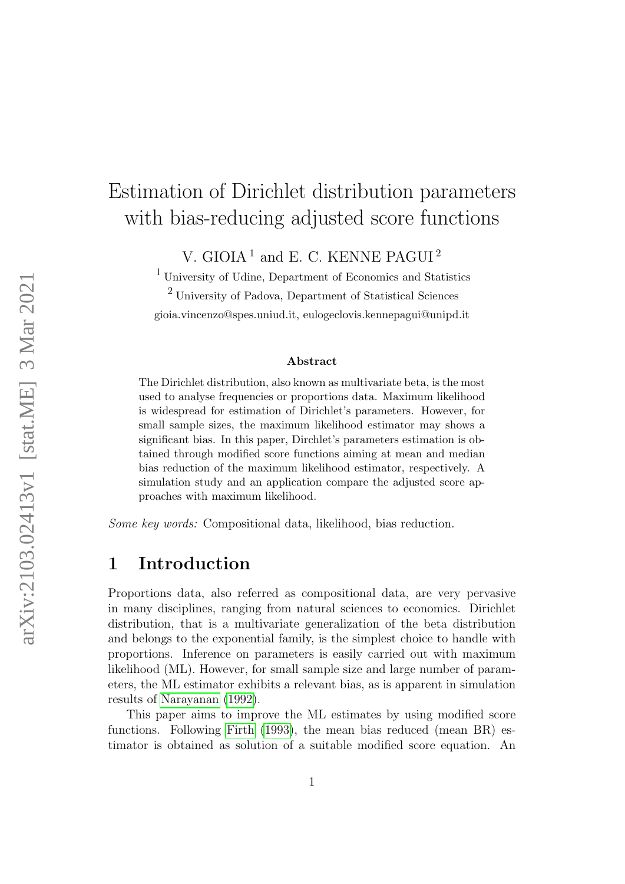# Estimation of Dirichlet distribution parameters with bias-reducing adjusted score functions

V. GIOIA $^1$  and E. C. KENNE PAGUI $^2$ 

 $^{\rm 1}$  University of Udine, Department of Economics and Statistics

<sup>2</sup> University of Padova, Department of Statistical Sciences

gioia.vincenzo@spes.uniud.it, eulogeclovis.kennepagui@unipd.it

#### Abstract

The Dirichlet distribution, also known as multivariate beta, is the most used to analyse frequencies or proportions data. Maximum likelihood is widespread for estimation of Dirichlet's parameters. However, for small sample sizes, the maximum likelihood estimator may shows a significant bias. In this paper, Dirchlet's parameters estimation is obtained through modified score functions aiming at mean and median bias reduction of the maximum likelihood estimator, respectively. A simulation study and an application compare the adjusted score approaches with maximum likelihood.

Some key words: Compositional data, likelihood, bias reduction.

### 1 Introduction

Proportions data, also referred as compositional data, are very pervasive in many disciplines, ranging from natural sciences to economics. Dirichlet distribution, that is a multivariate generalization of the beta distribution and belongs to the exponential family, is the simplest choice to handle with proportions. Inference on parameters is easily carried out with maximum likelihood (ML). However, for small sample size and large number of parameters, the ML estimator exhibits a relevant bias, as is apparent in simulation results of [Narayanan \(1992\)](#page-6-0).

This paper aims to improve the ML estimates by using modified score functions. Following [Firth \(1993\)](#page-5-0), the mean bias reduced (mean BR) estimator is obtained as solution of a suitable modified score equation. An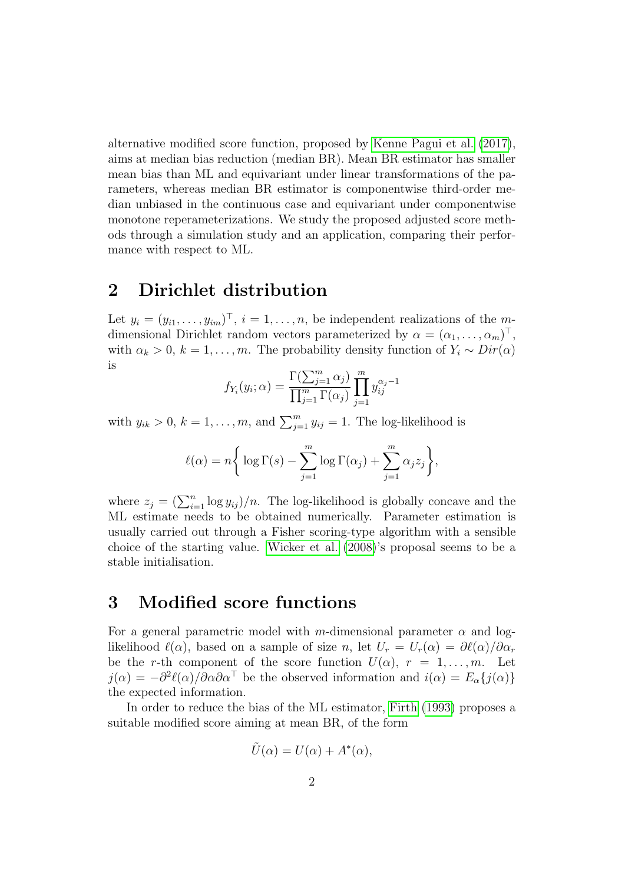alternative modified score function, proposed by [Kenne Pagui et al. \(2017\)](#page-5-1), aims at median bias reduction (median BR). Mean BR estimator has smaller mean bias than ML and equivariant under linear transformations of the parameters, whereas median BR estimator is componentwise third-order median unbiased in the continuous case and equivariant under componentwise monotone reperameterizations. We study the proposed adjusted score methods through a simulation study and an application, comparing their performance with respect to ML.

#### 2 Dirichlet distribution

Let  $y_i = (y_{i1}, \ldots, y_{im})^\top$ ,  $i = 1, \ldots, n$ , be independent realizations of the mdimensional Dirichlet random vectors parameterized by  $\alpha = (\alpha_1, \ldots, \alpha_m)^\top$ , with  $\alpha_k > 0$ ,  $k = 1, \ldots, m$ . The probability density function of  $Y_i \sim Dir(\alpha)$ is

$$
f_{Y_i}(y_i; \alpha) = \frac{\Gamma(\sum_{j=1}^m \alpha_j)}{\prod_{j=1}^m \Gamma(\alpha_j)} \prod_{j=1}^m y_{ij}^{\alpha_j - 1}
$$

with  $y_{ik} > 0$ ,  $k = 1, ..., m$ , and  $\sum_{j=1}^{m} y_{ij} = 1$ . The log-likelihood is

$$
\ell(\alpha) = n \left\{ \log \Gamma(s) - \sum_{j=1}^{m} \log \Gamma(\alpha_j) + \sum_{j=1}^{m} \alpha_j z_j \right\},\,
$$

where  $z_j = \left(\sum_{i=1}^n \log y_{ij}\right)/n$ . The log-likelihood is globally concave and the ML estimate needs to be obtained numerically. Parameter estimation is usually carried out through a Fisher scoring-type algorithm with a sensible choice of the starting value. [Wicker et al. \(2008\)](#page-6-1)'s proposal seems to be a stable initialisation.

#### 3 Modified score functions

For a general parametric model with m-dimensional parameter  $\alpha$  and loglikelihood  $\ell(\alpha)$ , based on a sample of size n, let  $U_r = U_r(\alpha) = \partial \ell(\alpha)/\partial \alpha_r$ be the r-th component of the score function  $U(\alpha)$ ,  $r = 1, \ldots, m$ . Let  $j(\alpha) = -\partial^2 \ell(\alpha) / \partial \alpha \partial \alpha^\top$  be the observed information and  $i(\alpha) = E_\alpha \{j(\alpha)\}\$ the expected information.

In order to reduce the bias of the ML estimator, [Firth \(1993\)](#page-5-0) proposes a suitable modified score aiming at mean BR, of the form

$$
\tilde{U}(\alpha) = U(\alpha) + A^*(\alpha),
$$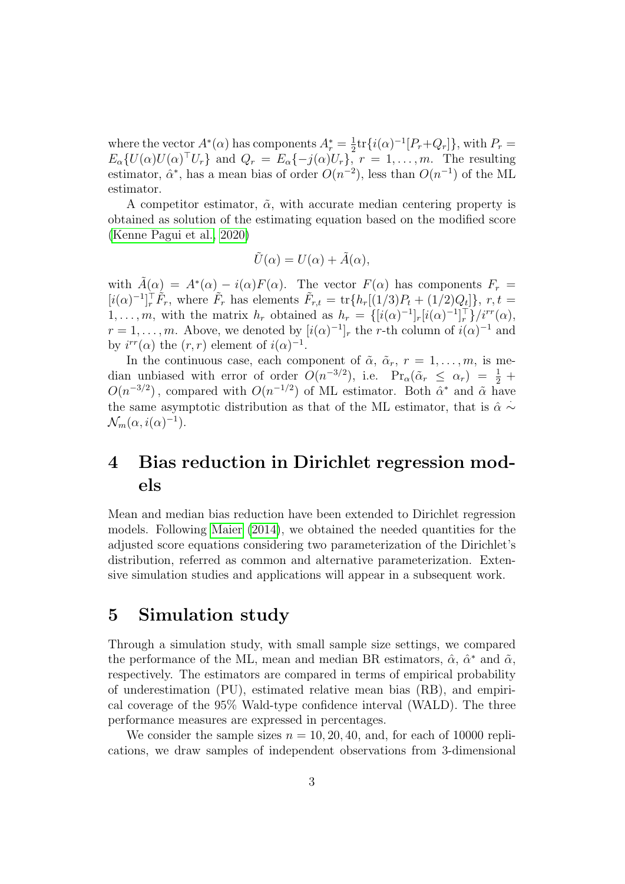where the vector  $A^*(\alpha)$  has components  $A_r^* = \frac{1}{2}$  $\frac{1}{2}$ tr $\{i(\alpha)^{-1}[P_r+Q_r]\},\$  with  $P_r =$  $E_{\alpha}\lbrace U(\alpha)U(\alpha)^{\top}U_r\rbrace$  and  $Q_r = E_{\alpha}\lbrace -j(\alpha)U_r\rbrace$ ,  $r = 1, \ldots, m$ . The resulting estimator,  $\hat{\alpha}^*$ , has a mean bias of order  $O(n^{-2})$ , less than  $O(n^{-1})$  of the ML estimator.

A competitor estimator,  $\tilde{\alpha}$ , with accurate median centering property is obtained as solution of the estimating equation based on the modified score [\(Kenne Pagui et al., 2020\)](#page-5-2)

$$
\tilde{U}(\alpha) = U(\alpha) + \tilde{A}(\alpha),
$$

with  $\tilde{A}(\alpha) = A^*(\alpha) - i(\alpha)F(\alpha)$ . The vector  $F(\alpha)$  has components  $F_r =$  $[i(\alpha)^{-1}]_r^{\dagger} \tilde{F}_r$ , where  $\tilde{F}_r$  has elements  $\tilde{F}_{r,t} = \text{tr}\{h_r[(1/3)P_t + (1/2)Q_t]\}, r, t =$ 1,...,*m*, with the matrix  $h_r$  obtained as  $h_r = \{ [i(\alpha)^{-1}]_r [i(\alpha)^{-1}]_r^T \}/i^{rr}(\alpha)$ ,  $r = 1, \ldots, m$ . Above, we denoted by  $[i(\alpha)^{-1}]_r$  the r-th column of  $i(\alpha)^{-1}$  and by  $i^{rr}(\alpha)$  the  $(r, r)$  element of  $i(\alpha)^{-1}$ .

In the continuous case, each component of  $\tilde{\alpha}$ ,  $\tilde{\alpha}_r$ ,  $r = 1, \ldots, m$ , is median unbiased with error of order  $O(n^{-3/2})$ , i.e.  $Pr_{\alpha}(\tilde{\alpha}_r \leq \alpha_r) = \frac{1}{2} + \frac{1}{2}$  $O(n^{-3/2})$ , compared with  $O(n^{-1/2})$  of ML estimator. Both  $\hat{\alpha}^*$  and  $\tilde{\alpha}$  have the same asymptotic distribution as that of the ML estimator, that is  $\hat{\alpha} \sim$  $\mathcal{N}_m(\alpha,i(\alpha)^{-1}).$ 

## 4 Bias reduction in Dirichlet regression models

Mean and median bias reduction have been extended to Dirichlet regression models. Following [Maier \(2014\)](#page-6-2), we obtained the needed quantities for the adjusted score equations considering two parameterization of the Dirichlet's distribution, referred as common and alternative parameterization. Extensive simulation studies and applications will appear in a subsequent work.

#### 5 Simulation study

Through a simulation study, with small sample size settings, we compared the performance of the ML, mean and median BR estimators,  $\hat{\alpha}$ ,  $\hat{\alpha}^*$  and  $\tilde{\alpha}$ , respectively. The estimators are compared in terms of empirical probability of underestimation (PU), estimated relative mean bias (RB), and empirical coverage of the 95% Wald-type confidence interval (WALD). The three performance measures are expressed in percentages.

We consider the sample sizes  $n = 10, 20, 40,$  and, for each of 10000 replications, we draw samples of independent observations from 3-dimensional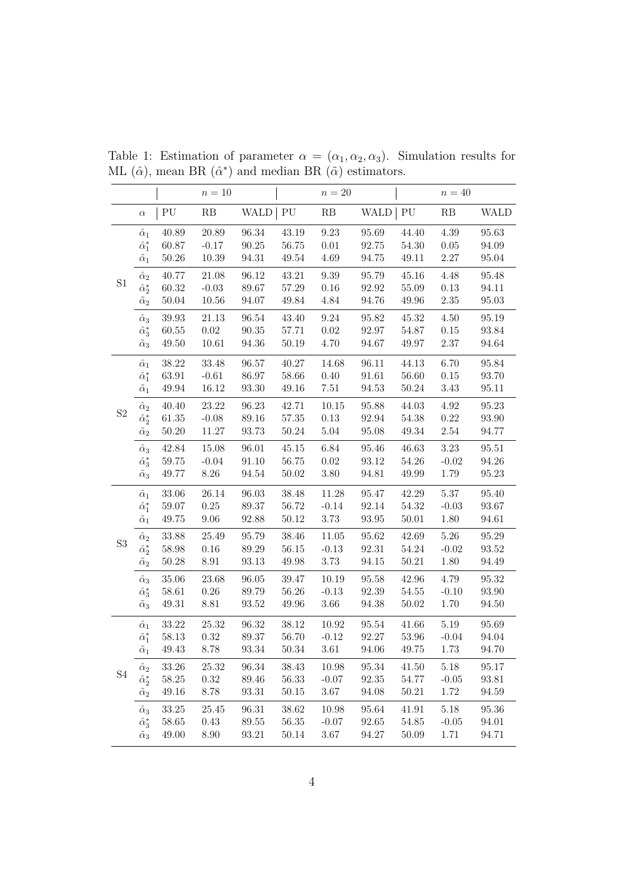|          |                    |            | $n=10$    |           |            | $n=20$    |                      |            | $n=40$   |             |
|----------|--------------------|------------|-----------|-----------|------------|-----------|----------------------|------------|----------|-------------|
|          | $\alpha$           | ${\rm PU}$ | RB        | WALD      | ${\rm PU}$ | RB        | <b>WALD</b>          | ${\rm PU}$ | RB       | <b>WALD</b> |
| S1       | $\hat{\alpha}_1$   | 40.89      | 20.89     | 96.34     | 43.19      | 9.23      | 95.69                | 44.40      | 4.39     | 95.63       |
|          | $\hat{\alpha}_1^*$ | 60.87      | $-0.17$   | $90.25\,$ | 56.75      | 0.01      | 92.75                | 54.30      | $0.05\,$ | 94.09       |
|          | $\tilde{\alpha}_1$ | 50.26      | 10.39     | 94.31     | 49.54      | 4.69      | 94.75                | 49.11      | $2.27\,$ | 95.04       |
|          | $\hat{\alpha}_2$   | 40.77      | 21.08     | 96.12     | 43.21      | $9.39\,$  | 95.79                | 45.16      | 4.48     | 95.48       |
|          | $\hat{\alpha}_2^*$ | 60.32      | $-0.03$   | 89.67     | 57.29      | $0.16\,$  | $92.92\,$            | 55.09      | $0.13\,$ | 94.11       |
|          | $\tilde{\alpha}_2$ | 50.04      | 10.56     | 94.07     | 49.84      | 4.84      | 94.76                | 49.96      | 2.35     | 95.03       |
|          | $\hat{\alpha}_3$   | 39.93      | 21.13     | 96.54     | 43.40      | $9.24\,$  | 95.82                | 45.32      | 4.50     | 95.19       |
|          | $\hat{\alpha}_3^*$ | 60.55      | $0.02\,$  | $90.35\,$ | 57.71      | $0.02\,$  | 92.97                | 54.87      | $0.15\,$ | 93.84       |
|          | $\tilde{\alpha}_3$ | 49.50      | 10.61     | 94.36     | 50.19      | 4.70      | 94.67                | 49.97      | $2.37\,$ | 94.64       |
| $\rm S2$ | $\hat{\alpha}_1$   | 38.22      | 33.48     | $96.57\,$ | 40.27      | 14.68     | 96.11                | $44.13\,$  | 6.70     | 95.84       |
|          | $\hat{\alpha}_1^*$ | 63.91      | $-0.61$   | 86.97     | 58.66      | 0.40      | 91.61                | 56.60      | $0.15\,$ | 93.70       |
|          | $\tilde{\alpha}_1$ | 49.94      | 16.12     | $93.30\,$ | 49.16      | $7.51\,$  | 94.53                | 50.24      | 3.43     | 95.11       |
|          | $\hat{\alpha}_2$   | 40.40      | 23.22     | 96.23     | 42.71      | 10.15     | 95.88                | 44.03      | $4.92\,$ | 95.23       |
|          | $\hat{\alpha}_2^*$ | 61.35      | $-0.08$   | 89.16     | $57.35\,$  | $0.13\,$  | 92.94                | 54.38      | $0.22\,$ | 93.90       |
|          | $\tilde{\alpha}_2$ | 50.20      | 11.27     | 93.73     | 50.24      | $5.04\,$  | $95.08\,$            | 49.34      | $2.54\,$ | 94.77       |
|          | $\hat{\alpha}_3$   | 42.84      | 15.08     | 96.01     | 45.15      | 6.84      | $\boldsymbol{95.46}$ | 46.63      | $3.23\,$ | 95.51       |
|          | $\hat{\alpha}_3^*$ | 59.75      | $-0.04$   | 91.10     | $56.75\,$  | $0.02\,$  | $93.12\,$            | 54.26      | $-0.02$  | $94.26\,$   |
|          | $\tilde{\alpha}_3$ | 49.77      | $8.26\,$  | $94.54\,$ | 50.02      | $3.80\,$  | 94.81                | 49.99      | 1.79     | 95.23       |
| $\rm S3$ | $\hat{\alpha}_1$   | 33.06      | 26.14     | 96.03     | 38.48      | 11.28     | 95.47                | 42.29      | $5.37\,$ | 95.40       |
|          | $\hat{\alpha}_1^*$ | 59.07      | $0.25\,$  | 89.37     | 56.72      | $-0.14$   | 92.14                | 54.32      | $-0.03$  | 93.67       |
|          | $\tilde{\alpha}_1$ | 49.75      | $9.06\,$  | 92.88     | 50.12      | $3.73\,$  | $\boldsymbol{93.95}$ | 50.01      | 1.80     | 94.61       |
|          | $\hat{\alpha}_2$   | 33.88      | $25.49\,$ | 95.79     | 38.46      | $11.05\,$ | 95.62                | 42.69      | $5.26\,$ | 95.29       |
|          | $\hat{\alpha}_2^*$ | 58.98      | $0.16\,$  | 89.29     | 56.15      | $-0.13$   | 92.31                | 54.24      | $-0.02$  | 93.52       |
|          | $\tilde{\alpha}_2$ | 50.28      | 8.91      | 93.13     | 49.98      | $3.73\,$  | 94.15                | 50.21      | 1.80     | 94.49       |
|          | $\hat{\alpha}_3$   | 35.06      | 23.68     | 96.05     | 39.47      | 10.19     | 95.58                | 42.96      | 4.79     | 95.32       |
|          | $\hat{\alpha}_3^*$ | 58.61      | $0.26\,$  | 89.79     | 56.26      | $-0.13$   | 92.39                | 54.55      | $-0.10$  | 93.90       |
|          | $\tilde{\alpha}_3$ | 49.31      | 8.81      | 93.52     | 49.96      | 3.66      | 94.38                | 50.02      | 1.70     | 94.50       |
| S4       | $\hat{\alpha}_1$   | 33.22      | 25.32     | 96.32     | 38.12      | 10.92     | 95.54                | 41.66      | $5.19\,$ | 95.69       |
|          | $\hat{\alpha}_1^*$ | 58.13      | $0.32\,$  | 89.37     | 56.70      | $-0.12$   | 92.27                | 53.96      | $-0.04$  | 94.04       |
|          | $\tilde{\alpha}_1$ | 49.43      | 8.78      | 93.34     | 50.34      | 3.61      | 94.06                | 49.75      | 1.73     | 94.70       |
|          | $\hat{\alpha}_2$   | 33.26      | 25.32     | 96.34     | 38.43      | 10.98     | 95.34                | 41.50      | 5.18     | 95.17       |
|          | $\hat{\alpha}_2^*$ | 58.25      | 0.32      | 89.46     | 56.33      | $-0.07$   | 92.35                | 54.77      | $-0.05$  | 93.81       |
|          | $\tilde{\alpha}_2$ | 49.16      | 8.78      | 93.31     | 50.15      | 3.67      | 94.08                | 50.21      | 1.72     | 94.59       |
|          | $\hat{\alpha}_3$   | 33.25      | 25.45     | 96.31     | 38.62      | 10.98     | 95.64                | 41.91      | 5.18     | 95.36       |
|          | $\hat{\alpha}_3^*$ | 58.65      | 0.43      | $89.55\,$ | 56.35      | $-0.07$   | 92.65                | 54.85      | $-0.05$  | 94.01       |
|          | $\tilde{\alpha}_3$ | 49.00      | 8.90      | 93.21     | 50.14      | 3.67      | 94.27                | 50.09      | 1.71     | 94.71       |
|          |                    |            |           |           |            |           |                      |            |          |             |

Table 1: Estimation of parameter  $\alpha = (\alpha_1, \alpha_2, \alpha_3)$ . Simulation results for ML  $(\hat{\alpha})$ , mean BR  $(\hat{\alpha}^*)$  and median BR  $(\tilde{\alpha})$  estimators.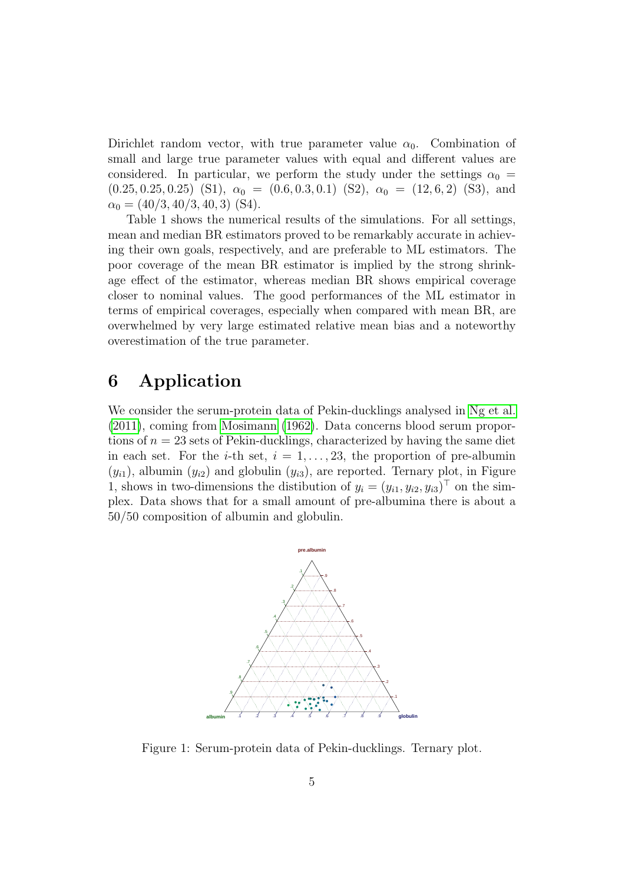Dirichlet random vector, with true parameter value  $\alpha_0$ . Combination of small and large true parameter values with equal and different values are considered. In particular, we perform the study under the settings  $\alpha_0 =$  $(0.25, 0.25, 0.25)$  (S1),  $\alpha_0 = (0.6, 0.3, 0.1)$  (S2),  $\alpha_0 = (12, 6, 2)$  (S3), and  $\alpha_0 = (40/3, 40/3, 40, 3)$  (S4).

Table 1 shows the numerical results of the simulations. For all settings, mean and median BR estimators proved to be remarkably accurate in achieving their own goals, respectively, and are preferable to ML estimators. The poor coverage of the mean BR estimator is implied by the strong shrinkage effect of the estimator, whereas median BR shows empirical coverage closer to nominal values. The good performances of the ML estimator in terms of empirical coverages, especially when compared with mean BR, are overwhelmed by very large estimated relative mean bias and a noteworthy overestimation of the true parameter.

### 6 Application

We consider the serum-protein data of Pekin-ducklings analysed in [Ng et al.](#page-6-3) [\(2011\)](#page-6-3), coming from [Mosimann \(1962\)](#page-6-4). Data concerns blood serum proportions of  $n = 23$  sets of Pekin-ducklings, characterized by having the same diet in each set. For the *i*-th set,  $i = 1, \ldots, 23$ , the proportion of pre-albumin  $(y_{i1})$ , albumin  $(y_{i2})$  and globulin  $(y_{i3})$ , are reported. Ternary plot, in Figure 1, shows in two-dimensions the distibution of  $y_i = (y_{i1}, y_{i2}, y_{i3})^\top$  on the simplex. Data shows that for a small amount of pre-albumina there is about a 50/50 composition of albumin and globulin.



Figure 1: Serum-protein data of Pekin-ducklings. Ternary plot.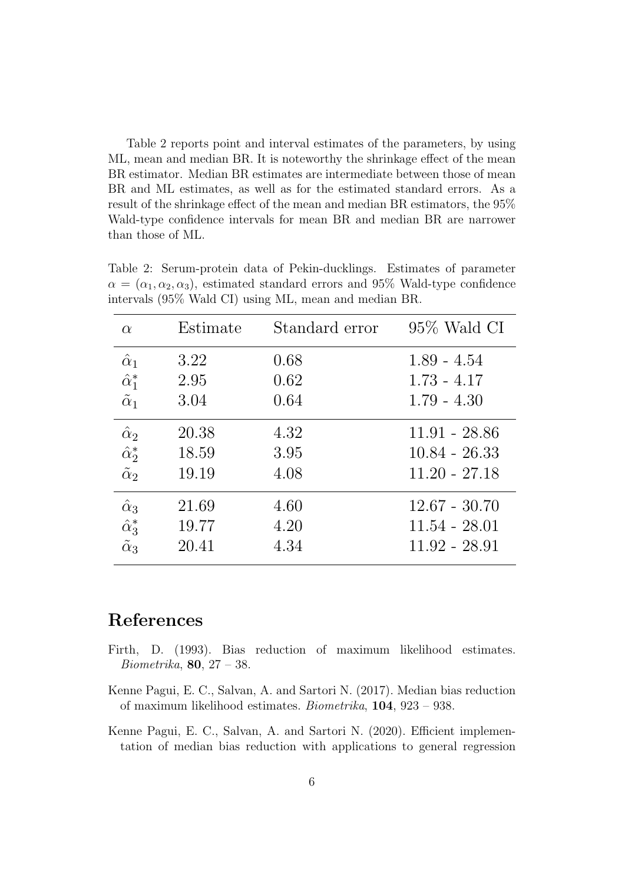Table 2 reports point and interval estimates of the parameters, by using ML, mean and median BR. It is noteworthy the shrinkage effect of the mean BR estimator. Median BR estimates are intermediate between those of mean BR and ML estimates, as well as for the estimated standard errors. As a result of the shrinkage effect of the mean and median BR estimators, the 95% Wald-type confidence intervals for mean BR and median BR are narrower than those of ML.

Table 2: Serum-protein data of Pekin-ducklings. Estimates of parameter  $\alpha = (\alpha_1, \alpha_2, \alpha_3)$ , estimated standard errors and 95% Wald-type confidence intervals (95% Wald CI) using ML, mean and median BR.

| $\alpha$           | Estimate | Standard error | $95\%$ Wald CI  |
|--------------------|----------|----------------|-----------------|
| $\hat{\alpha}_1$   | 3.22     | 0.68           | $1.89 - 4.54$   |
| $\hat{\alpha}_1^*$ | 2.95     | 0.62           | $1.73 - 4.17$   |
| $\tilde{\alpha}_1$ | 3.04     | 0.64           | $1.79 - 4.30$   |
| $\hat{\alpha}_2$   | 20.38    | 4.32           | $11.91 - 28.86$ |
| $\hat{\alpha}_2^*$ | 18.59    | 3.95           | $10.84 - 26.33$ |
| $\tilde{\alpha}_2$ | 19.19    | 4.08           | $11.20 - 27.18$ |
| $\hat{\alpha}_3$   | 21.69    | 4.60           | $12.67 - 30.70$ |
| $\hat{\alpha}_3^*$ | 19.77    | 4.20           | $11.54 - 28.01$ |
| $\tilde{\alpha}_3$ | 20.41    | 4.34           | $11.92 - 28.91$ |

### References

- <span id="page-5-0"></span>Firth, D. (1993). Bias reduction of maximum likelihood estimates. *Biometrika*, **80**,  $27 - 38$ .
- <span id="page-5-1"></span>Kenne Pagui, E. C., Salvan, A. and Sartori N. (2017). Median bias reduction of maximum likelihood estimates. Biometrika, 104, 923 – 938.
- <span id="page-5-2"></span>Kenne Pagui, E. C., Salvan, A. and Sartori N. (2020). Efficient implementation of median bias reduction with applications to general regression